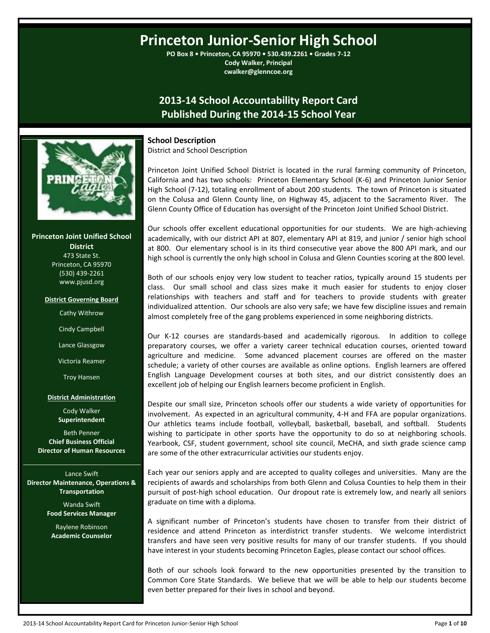# **Princeton Junior-Senior High School**

**PO Box 8 • Princeton, CA 95970 • 530.439.2261 • Grades 7-12 Cody Walker, Principal cwalker@glenncoe.org**

## **2013-14 School Accountability Report Card Published During the 2014-15 School Year**



**Princeton Joint Unified School District** 473 State St. Princeton, CA 95970 (530) 439-2261 www.pjusd.org

#### **District Governing Board**

Cathy Withrow

Cindy Campbell

Lance Glassgow

Victoria Reamer

Troy Hansen

#### **District Administration**

Cody Walker **Superintendent**

Beth Penner **Chief Business Official Director of Human Resources**

Lance Swift **Director Maintenance, Operations & Transportation**

> Wanda Swift **Food Services Manager**

Raylene Robinson **Academic Counselor**

### **School Description**

District and School Description

Princeton Joint Unified School District is located in the rural farming community of Princeton, California and has two schools: Princeton Elementary School (K-6) and Princeton Junior Senior High School (7-12), totaling enrollment of about 200 students. The town of Princeton is situated on the Colusa and Glenn County line, on Highway 45, adjacent to the Sacramento River. The Glenn County Office of Education has oversight of the Princeton Joint Unified School District.

Our schools offer excellent educational opportunities for our students. We are high-achieving academically, with our district API at 807, elementary API at 819, and junior / senior high school at 800. Our elementary school is in its third consecutive year above the 800 API mark, and our high school is currently the only high school in Colusa and Glenn Counties scoring at the 800 level.

Both of our schools enjoy very low student to teacher ratios, typically around 15 students per class. Our small school and class sizes make it much easier for students to enjoy closer relationships with teachers and staff and for teachers to provide students with greater individualized attention. Our schools are also very safe; we have few discipline issues and remain almost completely free of the gang problems experienced in some neighboring districts.

Our K-12 courses are standards-based and academically rigorous. In addition to college preparatory courses, we offer a variety career technical education courses, oriented toward agriculture and medicine. Some advanced placement courses are offered on the master schedule; a variety of other courses are available as online options. English learners are offered English Language Development courses at both sites, and our district consistently does an excellent job of helping our English learners become proficient in English.

Despite our small size, Princeton schools offer our students a wide variety of opportunities for involvement. As expected in an agricultural community, 4-H and FFA are popular organizations. Our athletics teams include football, volleyball, basketball, baseball, and softball. Students wishing to participate in other sports have the opportunity to do so at neighboring schools. Yearbook, CSF, student government, school site council, MeCHA, and sixth grade science camp are some of the other extracurricular activities our students enjoy.

Each year our seniors apply and are accepted to quality colleges and universities. Many are the recipients of awards and scholarships from both Glenn and Colusa Counties to help them in their pursuit of post-high school education. Our dropout rate is extremely low, and nearly all seniors graduate on time with a diploma.

A significant number of Princeton's students have chosen to transfer from their district of residence and attend Princeton as interdistrict transfer students. We welcome interdistrict transfers and have seen very positive results for many of our transfer students. If you should have interest in your students becoming Princeton Eagles, please contact our school offices.

Both of our schools look forward to the new opportunities presented by the transition to Common Core State Standards. We believe that we will be able to help our students become even better prepared for their lives in school and beyond.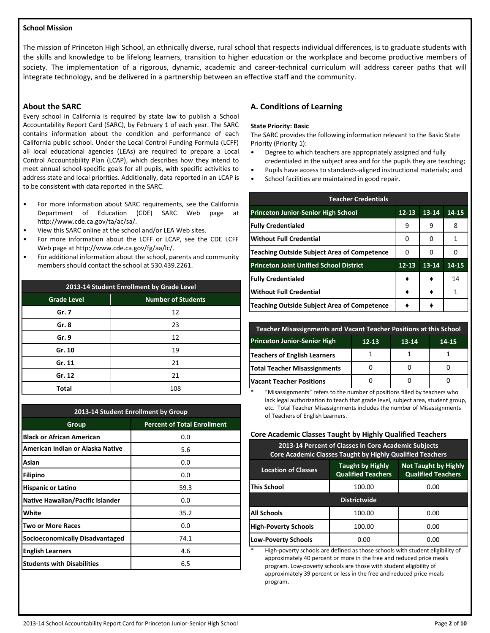#### **School Mission**

The mission of Princeton High School, an ethnically diverse, rural school that respects individual differences, is to graduate students with the skills and knowledge to be lifelong learners, transition to higher education or the workplace and become productive members of society. The implementation of a rigorous, dynamic, academic and career-technical curriculum will address career paths that will integrate technology, and be delivered in a partnership between an effective staff and the community.

#### **About the SARC**

Every school in California is required by state law to publish a School Accountability Report Card (SARC), by February 1 of each year. The SARC contains information about the condition and performance of each California public school. Under the Local Control Funding Formula (LCFF) all local educational agencies (LEAs) are required to prepare a Local Control Accountability Plan (LCAP), which describes how they intend to meet annual school-specific goals for all pupils, with specific activities to address state and local priorities. Additionally, data reported in an LCAP is to be consistent with data reported in the SARC.

- For more information about SARC requirements, see the California Department of Education (CDE) SARC Web page at http://www.cde.ca.gov/ta/ac/sa/.
- View this SARC online at the school and/or LEA Web sites.
- For more information about the LCFF or LCAP, see the CDE LCFF Web page at http://www.cde.ca.gov/fg/aa/lc/.
- For additional information about the school, parents and community members should contact the school at 530.439.2261.

| 2013-14 Student Enrollment by Grade Level       |     |  |  |
|-------------------------------------------------|-----|--|--|
| <b>Number of Students</b><br><b>Grade Level</b> |     |  |  |
| Gr. 7                                           | 12  |  |  |
| Gr. 8                                           | 23  |  |  |
| Gr. 9                                           | 12  |  |  |
| Gr. 10                                          | 19  |  |  |
| Gr. 11                                          | 21  |  |  |
| Gr. 12                                          | 21  |  |  |
| Total                                           | 108 |  |  |

| 2013-14 Student Enrollment by Group     |                                    |  |  |  |
|-----------------------------------------|------------------------------------|--|--|--|
| Group                                   | <b>Percent of Total Enrollment</b> |  |  |  |
| <b>Black or African American</b>        | 0.0                                |  |  |  |
| American Indian or Alaska Native        | 5.6                                |  |  |  |
| Asian                                   | 0.0                                |  |  |  |
| Filipino                                | 0.0                                |  |  |  |
| <b>Hispanic or Latino</b>               | 59.3                               |  |  |  |
| <b>Native Hawaiian/Pacific Islander</b> | 0.0                                |  |  |  |
| White                                   | 35.2                               |  |  |  |
| <b>Two or More Races</b>                | 0.0                                |  |  |  |
| <b>Socioeconomically Disadvantaged</b>  | 74.1                               |  |  |  |
| <b>English Learners</b>                 | 4.6                                |  |  |  |
| <b>Students with Disabilities</b>       | 6.5                                |  |  |  |

#### **A. Conditions of Learning**

#### **State Priority: Basic**

The SARC provides the following information relevant to the Basic State Priority (Priority 1):

- Degree to which teachers are appropriately assigned and fully
- credentialed in the subject area and for the pupils they are teaching;
- Pupils have access to standards-aligned instructional materials; and
- School facilities are maintained in good repair.

| <b>Teacher Credentials</b>                     |           |       |       |  |  |
|------------------------------------------------|-----------|-------|-------|--|--|
| <b>Princeton Junior-Senior High School</b>     | $12 - 13$ | 13-14 | 14-15 |  |  |
| <b>Fully Credentialed</b>                      | 9         | 9     | 8     |  |  |
| <b>Without Full Credential</b>                 | 0         | 0     | 1     |  |  |
| Teaching Outside Subject Area of Competence    | 0         | 0     | O     |  |  |
| <b>Princeton Joint Unified School District</b> | $12 - 13$ | 13-14 | 14-15 |  |  |
| <b>Fully Credentialed</b>                      |           |       | 14    |  |  |
| <b>Without Full Credential</b>                 |           |       | 1     |  |  |
| Teaching Outside Subject Area of Competence    |           |       |       |  |  |

| Teacher Misassignments and Vacant Teacher Positions at this School     |  |  |  |  |  |
|------------------------------------------------------------------------|--|--|--|--|--|
| <b>Princeton Junior-Senior High</b><br>$12 - 13$<br>$13 - 14$<br>14-15 |  |  |  |  |  |
| Teachers of English Learners                                           |  |  |  |  |  |
| <b>Total Teacher Misassignments</b>                                    |  |  |  |  |  |
| <b>Vacant Teacher Positions</b>                                        |  |  |  |  |  |

"Misassignments" refers to the number of positions filled by teachers who lack legal authorization to teach that grade level, subject area, student group, etc. Total Teacher Misassignments includes the number of Misassignments of Teachers of English Learners.

#### **Core Academic Classes Taught by Highly Qualified Teachers**

| 2013-14 Percent of Classes In Core Academic Subjects<br><b>Core Academic Classes Taught by Highly Qualified Teachers</b>                       |        |      |  |  |  |
|------------------------------------------------------------------------------------------------------------------------------------------------|--------|------|--|--|--|
| <b>Not Taught by Highly</b><br><b>Taught by Highly</b><br><b>Location of Classes</b><br><b>Qualified Teachers</b><br><b>Qualified Teachers</b> |        |      |  |  |  |
| This School                                                                                                                                    | 100.00 | 0.00 |  |  |  |
| <b>Districtwide</b>                                                                                                                            |        |      |  |  |  |
| All Schools                                                                                                                                    | 100.00 | 0.00 |  |  |  |
| <b>High-Poverty Schools</b>                                                                                                                    | 100.00 | 0.00 |  |  |  |
| <b>Low-Poverty Schools</b>                                                                                                                     | 0.00   | 0.00 |  |  |  |

High-poverty schools are defined as those schools with student eligibility of approximately 40 percent or more in the free and reduced price meals program. Low-poverty schools are those with student eligibility of approximately 39 percent or less in the free and reduced price meals program.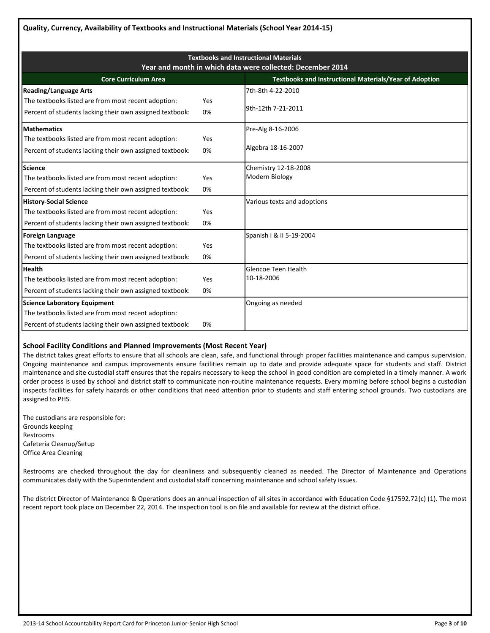| <b>Textbooks and Instructional Materials</b><br>Year and month in which data were collected: December 2014                                             |           |                                                               |  |  |  |
|--------------------------------------------------------------------------------------------------------------------------------------------------------|-----------|---------------------------------------------------------------|--|--|--|
| <b>Core Curriculum Area</b>                                                                                                                            |           | <b>Textbooks and Instructional Materials/Year of Adoption</b> |  |  |  |
| <b>Reading/Language Arts</b><br>The textbooks listed are from most recent adoption:<br>Percent of students lacking their own assigned textbook:        | Yes<br>0% | 7th-8th 4-22-2010<br>9th-12th 7-21-2011                       |  |  |  |
| <b>Mathematics</b><br>The textbooks listed are from most recent adoption:<br>Percent of students lacking their own assigned textbook:                  | Yes<br>0% | Pre-Alg 8-16-2006<br>Algebra 18-16-2007                       |  |  |  |
| <b>Science</b><br>The textbooks listed are from most recent adoption:<br>Percent of students lacking their own assigned textbook:                      | Yes<br>0% | Chemistry 12-18-2008<br>Modern Biology                        |  |  |  |
| <b>History-Social Science</b><br>The textbooks listed are from most recent adoption:<br>Percent of students lacking their own assigned textbook:       | Yes<br>0% | Various texts and adoptions                                   |  |  |  |
| <b>Foreign Language</b><br>The textbooks listed are from most recent adoption:<br>Percent of students lacking their own assigned textbook:             | Yes<br>0% | Spanish   & II 5-19-2004                                      |  |  |  |
| <b>Health</b><br>The textbooks listed are from most recent adoption:<br>Percent of students lacking their own assigned textbook:                       | Yes<br>0% | <b>Glencoe Teen Health</b><br>10-18-2006                      |  |  |  |
| <b>Science Laboratory Equipment</b><br>The textbooks listed are from most recent adoption:<br>Percent of students lacking their own assigned textbook: | 0%        | Ongoing as needed                                             |  |  |  |

#### **School Facility Conditions and Planned Improvements (Most Recent Year)**

The district takes great efforts to ensure that all schools are clean, safe, and functional through proper facilities maintenance and campus supervision. Ongoing maintenance and campus improvements ensure facilities remain up to date and provide adequate space for students and staff. District maintenance and site custodial staff ensures that the repairs necessary to keep the school in good condition are completed in a timely manner. A work order process is used by school and district staff to communicate non-routine maintenance requests. Every morning before school begins a custodian inspects facilities for safety hazards or other conditions that need attention prior to students and staff entering school grounds. Two custodians are assigned to PHS.

The custodians are responsible for: Grounds keeping Restrooms Cafeteria Cleanup/Setup Office Area Cleaning

Restrooms are checked throughout the day for cleanliness and subsequently cleaned as needed. The Director of Maintenance and Operations communicates daily with the Superintendent and custodial staff concerning maintenance and school safety issues.

The district Director of Maintenance & Operations does an annual inspection of all sites in accordance with Education Code §17592.72(c) (1). The most recent report took place on December 22, 2014. The inspection tool is on file and available for review at the district office.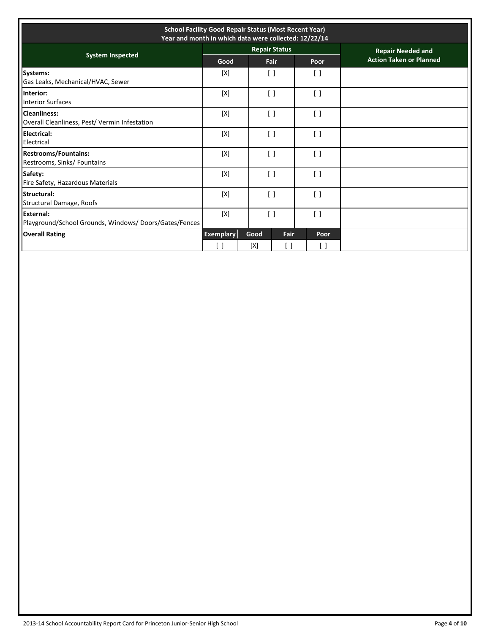| <b>School Facility Good Repair Status (Most Recent Year)</b><br>Year and month in which data were collected: 12/22/14 |                  |                                 |                      |                                               |                                |
|-----------------------------------------------------------------------------------------------------------------------|------------------|---------------------------------|----------------------|-----------------------------------------------|--------------------------------|
| <b>System Inspected</b>                                                                                               |                  |                                 | <b>Repair Status</b> |                                               | <b>Repair Needed and</b>       |
|                                                                                                                       | Good             |                                 | Fair                 | Poor                                          | <b>Action Taken or Planned</b> |
| Systems:<br>Gas Leaks, Mechanical/HVAC, Sewer                                                                         | [X]              | $\Box$                          |                      | $\left[ \begin{array}{c} \end{array} \right]$ |                                |
| Interior:<br><b>Interior Surfaces</b>                                                                                 | [X]              | $\begin{bmatrix} \end{bmatrix}$ |                      | $\begin{bmatrix} \end{bmatrix}$               |                                |
| <b>Cleanliness:</b><br>Overall Cleanliness, Pest/ Vermin Infestation                                                  | [X]              | $\left[ \quad \right]$          |                      | $\left[ \quad \right]$                        |                                |
| <b>Electrical:</b><br>Electrical                                                                                      | [X]              | $\left[ \ \right]$              |                      | $\left[ \ \right]$                            |                                |
| <b>Restrooms/Fountains:</b><br>Restrooms, Sinks/ Fountains                                                            | [X]              | $\begin{bmatrix} \end{bmatrix}$ |                      | $\left[ \quad \right]$                        |                                |
| Safety:<br>Fire Safety, Hazardous Materials                                                                           | [X]              | $\lceil$ $\rceil$               |                      | $\lceil$ $\rceil$                             |                                |
| Structural:<br><b>Structural Damage, Roofs</b>                                                                        | [X]              | $\begin{bmatrix} \end{bmatrix}$ |                      | $\begin{bmatrix} \end{bmatrix}$               |                                |
| External:<br>Playground/School Grounds, Windows/Doors/Gates/Fences                                                    | [X]              | $\begin{bmatrix} \end{bmatrix}$ |                      | $\begin{bmatrix} \end{bmatrix}$               |                                |
| <b>Overall Rating</b>                                                                                                 | <b>Exemplary</b> | Good                            | Fair                 | Poor                                          |                                |
|                                                                                                                       |                  | [X]                             |                      | $\lceil \ \rceil$                             |                                |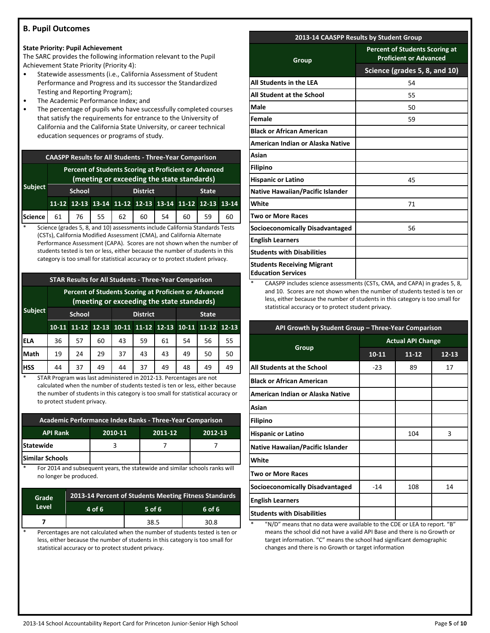#### **B. Pupil Outcomes**

#### **State Priority: Pupil Achievement**

The SARC provides the following information relevant to the Pupil Achievement State Priority (Priority 4):

- Statewide assessments (i.e., California Assessment of Student Performance and Progress and its successor the Standardized Testing and Reporting Program);
- The Academic Performance Index; and
- The percentage of pupils who have successfully completed courses that satisfy the requirements for entrance to the University of California and the California State University, or career technical education sequences or programs of study.

| <b>CAASPP Results for All Students - Three-Year Comparison</b> |                                                                                                     |         |  |                   |                                                       |    |    |              |    |
|----------------------------------------------------------------|-----------------------------------------------------------------------------------------------------|---------|--|-------------------|-------------------------------------------------------|----|----|--------------|----|
|                                                                | Percent of Students Scoring at Proficient or Advanced<br>(meeting or exceeding the state standards) |         |  |                   |                                                       |    |    |              |    |
| <b>Subject</b>                                                 | <b>School</b>                                                                                       |         |  | <b>District</b>   |                                                       |    |    | <b>State</b> |    |
|                                                                |                                                                                                     |         |  |                   | 11-12 12-13 13-14 11-12 12-13 13-14 11-12 12-13 13-14 |    |    |              |    |
| <b>Science</b>                                                 |                                                                                                     | 61   76 |  | $55 \mid 62 \mid$ | 60                                                    | 54 | 60 | 59           | 60 |

Science (grades 5, 8, and 10) assessments include California Standards Tests (CSTs), California Modified Assessment (CMA), and California Alternate Performance Assessment (CAPA). Scores are not shown when the number of students tested is ten or less, either because the number of students in this category is too small for statistical accuracy or to protect student privacy.

#### **STAR Results for All Students - Three-Year Comparison**

|                | <b>Percent of Students Scoring at Proficient or Advanced</b><br>(meeting or exceeding the state standards) |    |    |                 |                                     |    |              |           |           |
|----------------|------------------------------------------------------------------------------------------------------------|----|----|-----------------|-------------------------------------|----|--------------|-----------|-----------|
| <b>Subject</b> | <b>School</b>                                                                                              |    |    | <b>District</b> |                                     |    | <b>State</b> |           |           |
|                | $10 - 11$                                                                                                  |    |    |                 | 11-12 12-13 10-11 11-12 12-13 10-11 |    |              | $11 - 12$ | $12 - 13$ |
| <b>ELA</b>     | 36                                                                                                         | 57 | 60 | 43              | 59                                  | 61 | 54           | 56        | 55        |
| Math           | 19                                                                                                         | 24 | 29 | 37              | 43                                  | 43 | 49           | 50        | 50        |
| <b>HSS</b>     | 44                                                                                                         | 37 | 49 | 44              | 37                                  | 49 | 48           | 49        | 49        |

STAR Program was last administered in 2012-13. Percentages are not calculated when the number of students tested is ten or less, either because the number of students in this category is too small for statistical accuracy or to protect student privacy.

| Academic Performance Index Ranks - Three-Year Comparison |                               |  |  |  |  |  |
|----------------------------------------------------------|-------------------------------|--|--|--|--|--|
| <b>API Rank</b>                                          | 2010-11<br>2011-12<br>2012-13 |  |  |  |  |  |
| <b>Statewide</b>                                         |                               |  |  |  |  |  |
| Similar Schools                                          |                               |  |  |  |  |  |

For 2014 and subsequent years, the statewide and similar schools ranks will no longer be produced.

| Grade | 2013-14 Percent of Students Meeting Fitness Standards |      |      |  |  |  |
|-------|-------------------------------------------------------|------|------|--|--|--|
| Level | 4 of 6<br>$5$ of 6<br>6 of 6                          |      |      |  |  |  |
|       |                                                       | 38.5 | 30.8 |  |  |  |

Percentages are not calculated when the number of students tested is ten or less, either because the number of students in this category is too small for statistical accuracy or to protect student privacy.

| 2013-14 CAASPP Results by Student Group                        |                                                                        |  |  |
|----------------------------------------------------------------|------------------------------------------------------------------------|--|--|
| Group                                                          | <b>Percent of Students Scoring at</b><br><b>Proficient or Advanced</b> |  |  |
|                                                                | Science (grades 5, 8, and 10)                                          |  |  |
| All Students in the LEA                                        | 54                                                                     |  |  |
| All Student at the School                                      | 55                                                                     |  |  |
| Male                                                           | 50                                                                     |  |  |
| Female                                                         | 59                                                                     |  |  |
| <b>Black or African American</b>                               |                                                                        |  |  |
| American Indian or Alaska Native                               |                                                                        |  |  |
| Asian                                                          |                                                                        |  |  |
| <b>Filipino</b>                                                |                                                                        |  |  |
| <b>Hispanic or Latino</b>                                      | 45                                                                     |  |  |
| Native Hawaiian/Pacific Islander                               |                                                                        |  |  |
| White                                                          | 71                                                                     |  |  |
| <b>Two or More Races</b>                                       |                                                                        |  |  |
| <b>Socioeconomically Disadvantaged</b>                         | 56                                                                     |  |  |
| <b>English Learners</b>                                        |                                                                        |  |  |
| <b>Students with Disabilities</b>                              |                                                                        |  |  |
| <b>Students Receiving Migrant</b><br><b>Education Services</b> |                                                                        |  |  |

CAASPP includes science assessments (CSTs, CMA, and CAPA) in grades 5, 8, and 10. Scores are not shown when the number of students tested is ten or less, either because the number of students in this category is too small for statistical accuracy or to protect student privacy.

| API Growth by Student Group - Three-Year Comparison |                          |       |           |  |
|-----------------------------------------------------|--------------------------|-------|-----------|--|
|                                                     | <b>Actual API Change</b> |       |           |  |
| Group                                               | $10 - 11$                | 11-12 | $12 - 13$ |  |
| All Students at the School                          | $-23$                    | 89    | 17        |  |
| <b>Black or African American</b>                    |                          |       |           |  |
| American Indian or Alaska Native                    |                          |       |           |  |
| Asian                                               |                          |       |           |  |
| <b>Filipino</b>                                     |                          |       |           |  |
| <b>Hispanic or Latino</b>                           |                          | 104   | 3         |  |
| <b>Native Hawaiian/Pacific Islander</b>             |                          |       |           |  |
| White                                               |                          |       |           |  |
| <b>Two or More Races</b>                            |                          |       |           |  |
| Socioeconomically Disadvantaged                     | $-14$                    | 108   | 14        |  |
| <b>English Learners</b>                             |                          |       |           |  |
| <b>Students with Disabilities</b>                   |                          |       |           |  |

"N/D" means that no data were available to the CDE or LEA to report. "B" means the school did not have a valid API Base and there is no Growth or target information. "C" means the school had significant demographic changes and there is no Growth or target information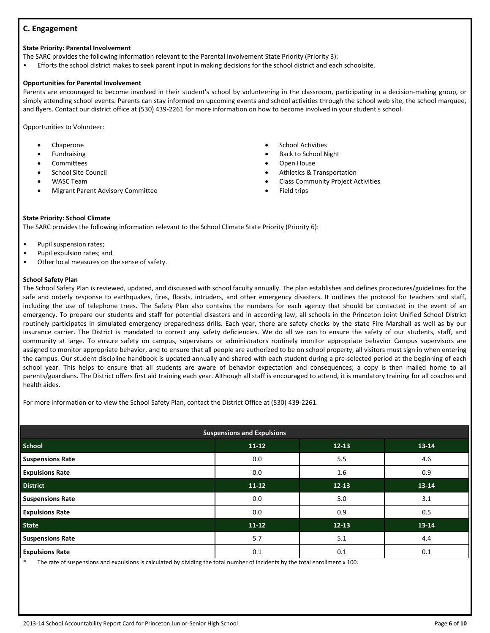#### **C. Engagement**

#### **State Priority: Parental Involvement**

The SARC provides the following information relevant to the Parental Involvement State Priority (Priority 3):

• Efforts the school district makes to seek parent input in making decisions for the school district and each schoolsite.

#### **Opportunities for Parental Involvement**

Parents are encouraged to become involved in their student's school by volunteering in the classroom, participating in a decision-making group, or simply attending school events. Parents can stay informed on upcoming events and school activities through the school web site, the school marquee, and flyers. Contact our district office at (530) 439-2261 for more information on how to become involved in your student's school.

Opportunities to Volunteer:

- Chaperone
- Fundraising
- **Committees**
- School Site Council
- WASC Team
- Migrant Parent Advisory Committee
- School Activities
- Back to School Night
- Open House
- Athletics & Transportation
- Class Community Project Activities
- Field trips

#### **State Priority: School Climate**

The SARC provides the following information relevant to the School Climate State Priority (Priority 6):

- Pupil suspension rates;
- Pupil expulsion rates; and
- Other local measures on the sense of safety.

#### **School Safety Plan**

The School Safety Plan is reviewed, updated, and discussed with school faculty annually. The plan establishes and defines procedures/guidelines for the safe and orderly response to earthquakes, fires, floods, intruders, and other emergency disasters. It outlines the protocol for teachers and staff, including the use of telephone trees. The Safety Plan also contains the numbers for each agency that should be contacted in the event of an emergency. To prepare our students and staff for potential disasters and in according law, all schools in the Princeton Joint Unified School District routinely participates in simulated emergency preparedness drills. Each year, there are safety checks by the state Fire Marshall as well as by our insurance carrier. The District is mandated to correct any safety deficiencies. We do all we can to ensure the safety of our students, staff, and community at large. To ensure safety on campus, supervisors or administrators routinely monitor appropriate behavior Campus supervisors are assigned to monitor appropriate behavior, and to ensure that all people are authorized to be on school property, all visitors must sign in when entering the campus. Our student discipline handbook is updated annually and shared with each student during a pre-selected period at the beginning of each school year. This helps to ensure that all students are aware of behavior expectation and consequences; a copy is then mailed home to all parents/guardians. The District offers first aid training each year. Although all staff is encouraged to attend, it is mandatory training for all coaches and health aides.

For more information or to view the School Safety Plan, contact the District Office at (530) 439-2261.

| <b>Suspensions and Expulsions</b> |           |           |       |  |  |
|-----------------------------------|-----------|-----------|-------|--|--|
| <b>School</b>                     | $11 - 12$ | $12 - 13$ | 13-14 |  |  |
| <b>Suspensions Rate</b>           | 0.0       | 5.5       | 4.6   |  |  |
| <b>Expulsions Rate</b>            | 0.0       | 1.6       | 0.9   |  |  |
| <b>District</b>                   | $11 - 12$ | $12 - 13$ | 13-14 |  |  |
| <b>Suspensions Rate</b>           | 0.0       | 5.0       | 3.1   |  |  |
| <b>Expulsions Rate</b>            | 0.0       | 0.9       | 0.5   |  |  |
| <b>State</b>                      | $11 - 12$ | $12 - 13$ | 13-14 |  |  |
| <b>Suspensions Rate</b>           | 5.7       | 5.1       | 4.4   |  |  |
| <b>Expulsions Rate</b>            | 0.1       | 0.1       | 0.1   |  |  |

The rate of suspensions and expulsions is calculated by dividing the total number of incidents by the total enrollment x 100.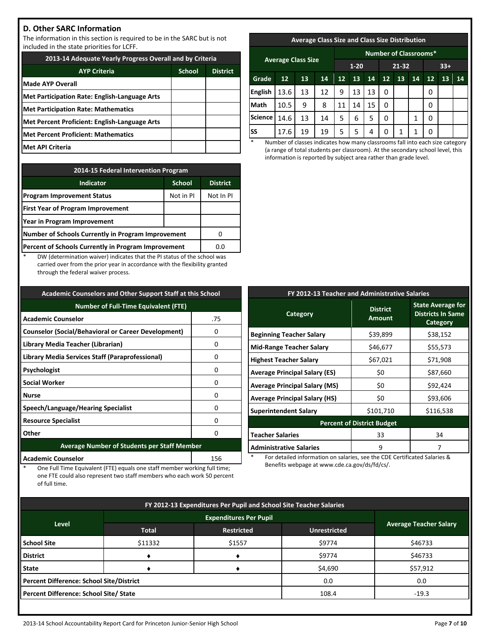#### **D. Other SARC Information**

The information in this section is required to be in the SARC but is not included in the state priorities for LCFF.

| 2013-14 Adequate Yearly Progress Overall and by Criteria |  |  |  |  |
|----------------------------------------------------------|--|--|--|--|
| <b>School</b><br><b>AYP Criteria</b><br><b>District</b>  |  |  |  |  |
| Made AYP Overall                                         |  |  |  |  |
| Met Participation Rate: English-Language Arts            |  |  |  |  |
| <b>Met Participation Rate: Mathematics</b>               |  |  |  |  |
| Met Percent Proficient: English-Language Arts            |  |  |  |  |
| Met Percent Proficient: Mathematics                      |  |  |  |  |
| lMet API Criteria                                        |  |  |  |  |

| 2014-15 Federal Intervention Program                 |           |           |  |  |
|------------------------------------------------------|-----------|-----------|--|--|
| <b>District</b><br><b>Indicator</b><br><b>School</b> |           |           |  |  |
| <b>Program Improvement Status</b>                    | Not in PI | Not In PI |  |  |
| <b>First Year of Program Improvement</b>             |           |           |  |  |
| Year in Program Improvement                          |           |           |  |  |
| Number of Schools Currently in Program Improvement   |           |           |  |  |
| Percent of Schools Currently in Program Improvement  | 0.0       |           |  |  |

DW (determination waiver) indicates that the PI status of the school was carried over from the prior year in accordance with the flexibility granted through the federal waiver process.

| <b>Academic Counselors and Other Support Staff at this School</b> |                                                    |  |  |
|-------------------------------------------------------------------|----------------------------------------------------|--|--|
| <b>Number of Full-Time Equivalent (FTE)</b>                       |                                                    |  |  |
| <b>Academic Counselor</b>                                         | .75                                                |  |  |
| <b>Counselor (Social/Behavioral or Career Development)</b>        | O                                                  |  |  |
| Library Media Teacher (Librarian)                                 | 0                                                  |  |  |
| Library Media Services Staff (Paraprofessional)                   | O                                                  |  |  |
| Psychologist                                                      | 0                                                  |  |  |
| <b>Social Worker</b>                                              | 0                                                  |  |  |
| <b>Nurse</b>                                                      | O                                                  |  |  |
| Speech/Language/Hearing Specialist<br>O                           |                                                    |  |  |
| <b>Resource Specialist</b><br>ŋ                                   |                                                    |  |  |
| Other<br>ŋ                                                        |                                                    |  |  |
|                                                                   | <b>Average Number of Students per Staff Member</b> |  |  |
| <b>Academic Counselor</b><br>156                                  |                                                    |  |  |

One Full Time Equivalent (FTE) equals one staff member working full time; one FTE could also represent two staff members who each work 50 percent of full time.

## **Average Class Size and Class Size Distribution Average Class Size Number of Classrooms\* 1-20 21-32 33+ Grade 12 13 14 12 13 14 12 13 14 12 13 14 English |** 13.6 | 13 | 12 | 9 | 13 | 13 | 0 | | | 0 **Math** | 10.5 | 9 | 8 | 11 | 14 | 15 | 0 | | | 0 **Science | 14.6 | 13 | 14 | 5 | 6 | 5 | 0 | | 1 | 0 SS** | 17.6 | 19 | 19 | 5 | 5 | 4 | 0 | 1 | 1 | 0

Number of classes indicates how many classrooms fall into each size category (a range of total students per classroom). At the secondary school level, this information is reported by subject area rather than grade level.

| FY 2012-13 Teacher and Administrative Salaries |                                  |                                                                         |  |  |
|------------------------------------------------|----------------------------------|-------------------------------------------------------------------------|--|--|
| <b>Category</b>                                | <b>District</b><br><b>Amount</b> | <b>State Average for</b><br><b>Districts In Same</b><br><b>Category</b> |  |  |
| <b>Beginning Teacher Salary</b>                | \$39,899                         | \$38,152                                                                |  |  |
| <b>Mid-Range Teacher Salary</b>                | \$46,677                         | \$55,573                                                                |  |  |
| <b>Highest Teacher Salary</b>                  | \$67,021                         | \$71,908                                                                |  |  |
| <b>Average Principal Salary (ES)</b>           | \$0                              | \$87,660                                                                |  |  |
| <b>Average Principal Salary (MS)</b>           | \$0                              | \$92,424                                                                |  |  |
| <b>Average Principal Salary (HS)</b>           | \$0                              | \$93,606                                                                |  |  |
| <b>Superintendent Salary</b>                   | \$101,710                        | \$116,538                                                               |  |  |
| <b>Percent of District Budget</b>              |                                  |                                                                         |  |  |
| <b>Teacher Salaries</b>                        | 33                               | 34                                                                      |  |  |
| <b>Administrative Salaries</b>                 | 9                                | 7                                                                       |  |  |
|                                                |                                  |                                                                         |  |  |

For detailed information on salaries, see the CDE Certificated Salaries & Benefits webpage at www.cde.ca.gov/ds/fd/cs/.

| FY 2012-13 Expenditures Per Pupil and School Site Teacher Salaries |              |                   |                     |                               |  |
|--------------------------------------------------------------------|--------------|-------------------|---------------------|-------------------------------|--|
|                                                                    |              |                   |                     |                               |  |
| Level                                                              | <b>Total</b> | <b>Restricted</b> | <b>Unrestricted</b> | <b>Average Teacher Salary</b> |  |
| <b>School Site</b>                                                 | \$11332      | \$1557            | \$9774              | \$46733                       |  |
| <b>District</b>                                                    |              |                   | \$9774              | \$46733                       |  |
| <b>State</b>                                                       |              |                   | \$4,690             | \$57,912                      |  |
| Percent Difference: School Site/District<br>0.0<br>0.0             |              |                   |                     |                               |  |
| Percent Difference: School Site/ State<br>108.4<br>$-19.3$         |              |                   |                     |                               |  |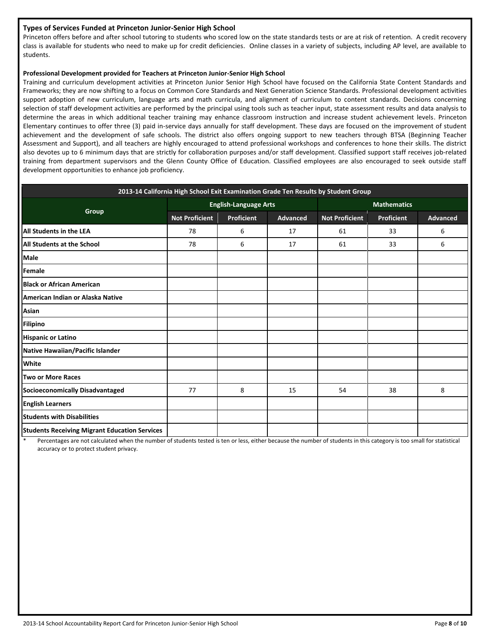#### **Types of Services Funded at Princeton Junior-Senior High School**

Princeton offers before and after school tutoring to students who scored low on the state standards tests or are at risk of retention. A credit recovery class is available for students who need to make up for credit deficiencies. Online classes in a variety of subjects, including AP level, are available to students.

#### **Professional Development provided for Teachers at Princeton Junior-Senior High School**

Training and curriculum development activities at Princeton Junior Senior High School have focused on the California State Content Standards and Frameworks; they are now shifting to a focus on Common Core Standards and Next Generation Science Standards. Professional development activities support adoption of new curriculum, language arts and math curricula, and alignment of curriculum to content standards. Decisions concerning selection of staff development activities are performed by the principal using tools such as teacher input, state assessment results and data analysis to determine the areas in which additional teacher training may enhance classroom instruction and increase student achievement levels. Princeton Elementary continues to offer three (3) paid in-service days annually for staff development. These days are focused on the improvement of student achievement and the development of safe schools. The district also offers ongoing support to new teachers through BTSA (Beginning Teacher Assessment and Support), and all teachers are highly encouraged to attend professional workshops and conferences to hone their skills. The district also devotes up to 6 minimum days that are strictly for collaboration purposes and/or staff development. Classified support staff receives job-related training from department supervisors and the Glenn County Office of Education. Classified employees are also encouraged to seek outside staff development opportunities to enhance job proficiency.

| 2013-14 California High School Exit Examination Grade Ten Results by Student Group |                       |                              |          |                       |                   |                 |
|------------------------------------------------------------------------------------|-----------------------|------------------------------|----------|-----------------------|-------------------|-----------------|
|                                                                                    |                       | <b>English-Language Arts</b> |          | <b>Mathematics</b>    |                   |                 |
| Group                                                                              | <b>Not Proficient</b> | Proficient                   | Advanced | <b>Not Proficient</b> | <b>Proficient</b> | <b>Advanced</b> |
| All Students in the LEA                                                            | 78                    | 6                            | 17       | 61                    | 33                | 6               |
| <b>All Students at the School</b>                                                  | 78                    | 6                            | 17       | 61                    | 33                | 6               |
| Male                                                                               |                       |                              |          |                       |                   |                 |
| Female                                                                             |                       |                              |          |                       |                   |                 |
| <b>Black or African American</b>                                                   |                       |                              |          |                       |                   |                 |
| American Indian or Alaska Native                                                   |                       |                              |          |                       |                   |                 |
| Asian                                                                              |                       |                              |          |                       |                   |                 |
| <b>Filipino</b>                                                                    |                       |                              |          |                       |                   |                 |
| <b>Hispanic or Latino</b>                                                          |                       |                              |          |                       |                   |                 |
| Native Hawaiian/Pacific Islander                                                   |                       |                              |          |                       |                   |                 |
| <b>White</b>                                                                       |                       |                              |          |                       |                   |                 |
| Two or More Races                                                                  |                       |                              |          |                       |                   |                 |
| Socioeconomically Disadvantaged                                                    | 77                    | 8                            | 15       | 54                    | 38                | 8               |
| <b>English Learners</b>                                                            |                       |                              |          |                       |                   |                 |
| <b>Students with Disabilities</b>                                                  |                       |                              |          |                       |                   |                 |
| <b>Students Receiving Migrant Education Services</b>                               |                       |                              |          |                       |                   |                 |

Percentages are not calculated when the number of students tested is ten or less, either because the number of students in this category is too small for statistical accuracy or to protect student privacy.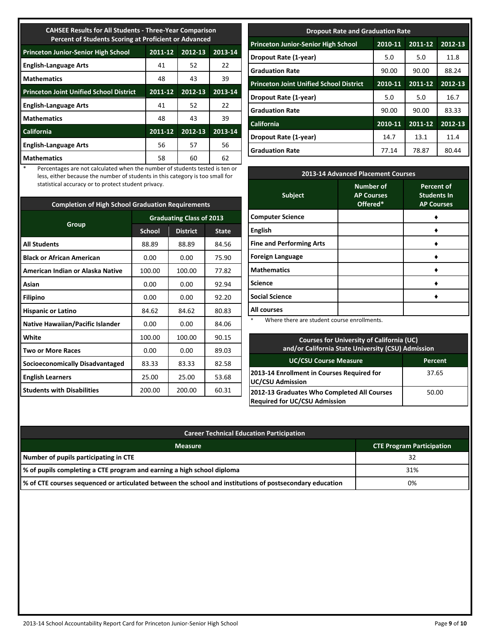| <b>CAHSEE Results for All Students - Three-Year Comparison</b><br>Percent of Students Scoring at Proficient or Advanced |                               |         |         |  |  |  |
|-------------------------------------------------------------------------------------------------------------------------|-------------------------------|---------|---------|--|--|--|
| <b>Princeton Junior-Senior High School</b>                                                                              | 2012-13<br>2011-12<br>2013-14 |         |         |  |  |  |
| <b>English-Language Arts</b>                                                                                            | 41                            | 52      | 22      |  |  |  |
| <b>Mathematics</b>                                                                                                      | 48                            | 43      | 39      |  |  |  |
| <b>Princeton Joint Unified School District</b>                                                                          | 2011-12                       | 2012-13 | 2013-14 |  |  |  |
| <b>English-Language Arts</b>                                                                                            | 41                            | 52      | 22      |  |  |  |
| <b>Mathematics</b>                                                                                                      | 48                            | 43      | 39      |  |  |  |
| <b>California</b>                                                                                                       | 2011-12                       | 2012-13 | 2013-14 |  |  |  |
| <b>English-Language Arts</b>                                                                                            | 56                            | 57      | 56      |  |  |  |
| <b>Mathematics</b>                                                                                                      | 58                            | 60      | 62      |  |  |  |

\* Percentages are not calculated when the number of students tested is ten or less, either because the number of students in this category is too small for statistical accuracy or to protect student privacy.

| <b>Completion of High School Graduation Requirements</b> |                                 |                 |              |  |
|----------------------------------------------------------|---------------------------------|-----------------|--------------|--|
|                                                          | <b>Graduating Class of 2013</b> |                 |              |  |
| Group                                                    | <b>School</b>                   | <b>District</b> | <b>State</b> |  |
| <b>All Students</b>                                      | 88.89                           | 88.89           | 84.56        |  |
| <b>Black or African American</b>                         | 0.00                            | 0.00            | 75.90        |  |
| American Indian or Alaska Native                         | 100.00                          | 100.00          | 77.82        |  |
| Asian                                                    | 0.00                            | 0.00            | 92.94        |  |
| <b>Filipino</b>                                          | 0.00                            | 0.00            | 92.20        |  |
| <b>Hispanic or Latino</b>                                | 84.62                           | 84.62           | 80.83        |  |
| Native Hawaiian/Pacific Islander                         | 0.00                            | 0.00            | 84.06        |  |
| White                                                    | 100.00                          | 100.00          | 90.15        |  |
| <b>Two or More Races</b>                                 | 0.00                            | 0.00            | 89.03        |  |
| <b>Socioeconomically Disadvantaged</b>                   | 83.33                           | 83.33           | 82.58        |  |
| <b>English Learners</b>                                  | 25.00                           | 25.00           | 53.68        |  |
| <b>Students with Disabilities</b>                        | 200.00                          | 200.00          | 60.31        |  |

| <b>Dropout Rate and Graduation Rate</b>                                     |         |             |         |  |  |
|-----------------------------------------------------------------------------|---------|-------------|---------|--|--|
| 2010-11<br>2012-13<br><b>Princeton Junior-Senior High School</b><br>2011-12 |         |             |         |  |  |
| Dropout Rate (1-year)                                                       | 5.0     | 5.0         | 11.8    |  |  |
| <b>Graduation Rate</b>                                                      | 90.00   | 90.00       | 88.24   |  |  |
| <b>Princeton Joint Unified School District</b>                              | 2010-11 | 2011-12     | 2012-13 |  |  |
| Dropout Rate (1-year)                                                       | 5.0     | 5.0         | 16.7    |  |  |
| <b>Graduation Rate</b>                                                      | 90.00   | 90.00       | 83.33   |  |  |
| <b>California</b>                                                           | 2010-11 | $2011 - 12$ | 2012-13 |  |  |
| Dropout Rate (1-year)                                                       | 14.7    | 13.1        | 11.4    |  |  |
| <b>Graduation Rate</b>                                                      | 77.14   | 78.87       | 80.44   |  |  |

| 2013-14 Advanced Placement Courses                                                                               |                                                   |                                                              |  |  |
|------------------------------------------------------------------------------------------------------------------|---------------------------------------------------|--------------------------------------------------------------|--|--|
| <b>Subject</b>                                                                                                   | <b>Number of</b><br><b>AP Courses</b><br>Offered* | <b>Percent of</b><br><b>Students In</b><br><b>AP Courses</b> |  |  |
| <b>Computer Science</b>                                                                                          |                                                   |                                                              |  |  |
| <b>English</b>                                                                                                   |                                                   |                                                              |  |  |
| <b>Fine and Performing Arts</b>                                                                                  |                                                   |                                                              |  |  |
| <b>Foreign Language</b>                                                                                          |                                                   |                                                              |  |  |
| <b>Mathematics</b>                                                                                               |                                                   |                                                              |  |  |
| <b>Science</b>                                                                                                   |                                                   |                                                              |  |  |
| <b>Social Science</b>                                                                                            |                                                   |                                                              |  |  |
| <b>All courses</b>                                                                                               |                                                   |                                                              |  |  |
| where the Market and the second control of the set of the set of the set of the set of the set of the set of the | بالمستورة المسالما                                |                                                              |  |  |

Where there are student course enrollments.

| <b>Courses for University of California (UC)</b><br>and/or California State University (CSU) Admission |         |  |
|--------------------------------------------------------------------------------------------------------|---------|--|
| <b>UC/CSU Course Measure</b>                                                                           | Percent |  |
| 2013-14 Enrollment in Courses Required for<br><b>UC/CSU Admission</b>                                  | 37.65   |  |
| 2012-13 Graduates Who Completed All Courses<br><b>Required for UC/CSU Admission</b>                    | 50.00   |  |

| <b>Career Technical Education Participation</b>                                                                      |                                  |
|----------------------------------------------------------------------------------------------------------------------|----------------------------------|
| <b>Measure</b>                                                                                                       | <b>CTE Program Participation</b> |
| Number of pupils participating in CTE                                                                                | 32                               |
| % of pupils completing a CTE program and earning a high school diploma                                               | 31%                              |
| $\mathbb I$ % of CTE courses sequenced or articulated between the school and institutions of postsecondary education | 0%                               |